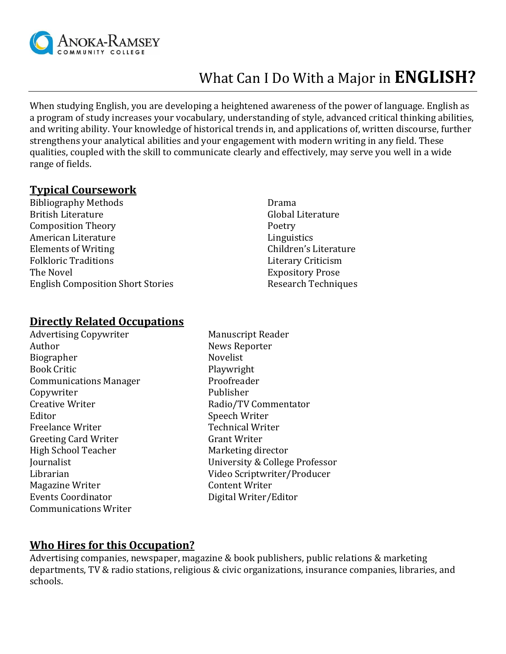

# What Can I Do With a Major in **ENGLISH?**

When studying English, you are developing a heightened awareness of the power of language. English as a program of study increases your vocabulary, understanding of style, advanced critical thinking abilities, and writing ability. Your knowledge of historical trends in, and applications of, written discourse, further strengthens your analytical abilities and your engagement with modern writing in any field. These qualities, coupled with the skill to communicate clearly and effectively, may serve you well in a wide range of fields.

#### **Typical Coursework**

Bibliography Methods British Literature Composition Theory American Literature Elements of Writing Folkloric Traditions The Novel English Composition Short Stories

Drama Global Literature Poetry Linguistics Children's Literature Literary Criticism Expository Prose Research Techniques

#### **Directly Related Occupations**

Advertising Copywriter Manuscript Reader Author News Reporter Biographer Novelist Book Critic **Playwright** Communications Manager Proofreader Copywriter Publisher Creative Writer **Radio/TV Commentator** Radio/TV Commentator Editor Speech Writer Freelance Writer **Technical Writer** Greeting Card Writer Grant Writer High School Teacher Marketing director Magazine Writer **Content Writer** Events Coordinator **Digital Writer/Editor** Communications Writer

Journalist University & College Professor Librarian Video Scriptwriter/Producer

### **Who Hires for this Occupation?**

Advertising companies, newspaper, magazine & book publishers, public relations & marketing departments, TV & radio stations, religious & civic organizations, insurance companies, libraries, and schools.